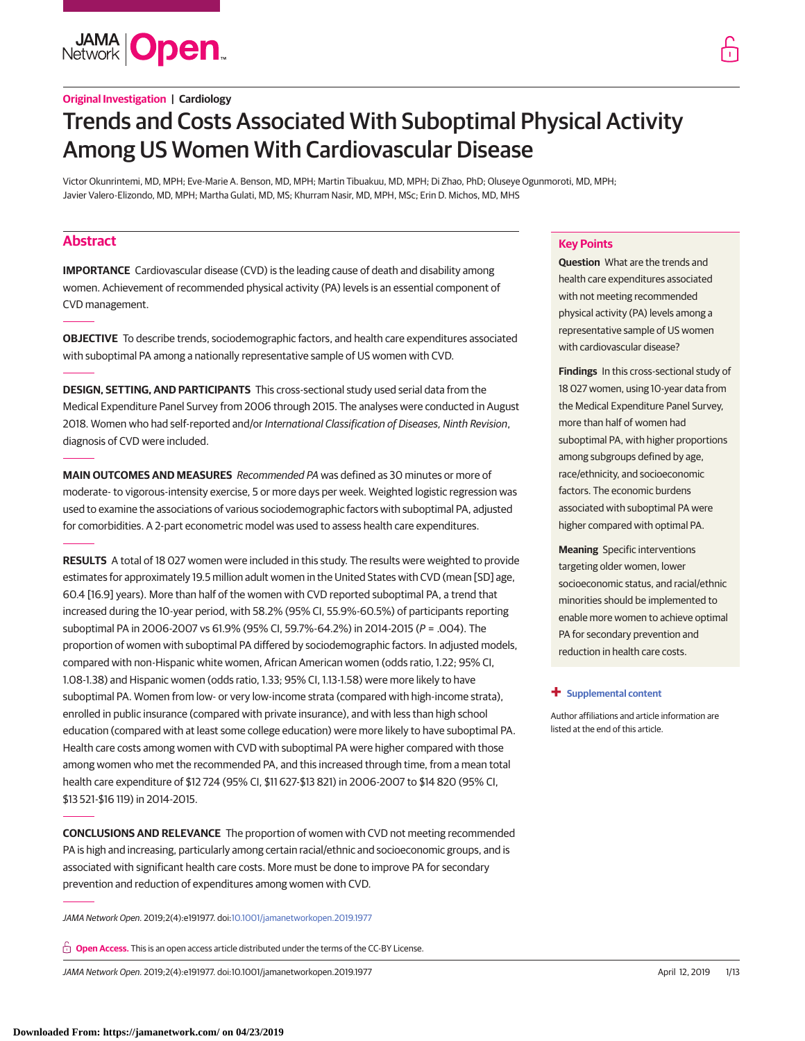**JAMA Open** 

# **Original Investigation | Cardiology**

# Trends and Costs Associated With Suboptimal Physical Activity Among US Women With Cardiovascular Disease

Victor Okunrintemi, MD, MPH; Eve-Marie A. Benson, MD, MPH; Martin Tibuakuu, MD, MPH; Di Zhao, PhD; Oluseye Ogunmoroti, MD, MPH; Javier Valero-Elizondo, MD, MPH; Martha Gulati, MD, MS; Khurram Nasir, MD, MPH, MSc; Erin D. Michos, MD, MHS

# **Abstract**

**IMPORTANCE** Cardiovascular disease (CVD) is the leading cause of death and disability among women. Achievement of recommended physical activity (PA) levels is an essential component of CVD management.

**OBJECTIVE** To describe trends, sociodemographic factors, and health care expenditures associated with suboptimal PA among a nationally representative sample of US women with CVD.

**DESIGN, SETTING, AND PARTICIPANTS** This cross-sectional study used serial data from the Medical Expenditure Panel Survey from 2006 through 2015. The analyses were conducted in August 2018. Women who had self-reported and/or International Classification of Diseases, Ninth Revision, diagnosis of CVD were included.

**MAIN OUTCOMES AND MEASURES** Recommended PA was defined as 30 minutes or more of moderate- to vigorous-intensity exercise, 5 or more days per week. Weighted logistic regression was used to examine the associations of various sociodemographic factors with suboptimal PA, adjusted for comorbidities. A 2-part econometric model was used to assess health care expenditures.

**RESULTS** A total of 18 027 women were included in this study. The results were weighted to provide estimates for approximately 19.5 million adult women in the United States with CVD (mean [SD] age, 60.4 [16.9] years). More than half of the women with CVD reported suboptimal PA, a trend that increased during the 10-year period, with 58.2% (95% CI, 55.9%-60.5%) of participants reporting suboptimal PA in 2006-2007 vs 61.9% (95% CI, 59.7%-64.2%) in 2014-2015 (P = .004). The proportion of women with suboptimal PA differed by sociodemographic factors. In adjusted models, compared with non-Hispanic white women, African American women (odds ratio, 1.22; 95% CI, 1.08-1.38) and Hispanic women (odds ratio, 1.33; 95% CI, 1.13-1.58) were more likely to have suboptimal PA. Women from low- or very low-income strata (compared with high-income strata), enrolled in public insurance (compared with private insurance), and with less than high school education (compared with at least some college education) were more likely to have suboptimal PA. Health care costs among women with CVD with suboptimal PA were higher compared with those among women who met the recommended PA, and this increased through time, from a mean total health care expenditure of \$12 724 (95% CI, \$11 627-\$13 821) in 2006-2007 to \$14 820 (95% CI, \$13 521-\$16 119) in 2014-2015.

**CONCLUSIONS AND RELEVANCE** The proportion of women with CVD not meeting recommended PA is high and increasing, particularly among certain racial/ethnic and socioeconomic groups, and is associated with significant health care costs. More must be done to improve PA for secondary prevention and reduction of expenditures among women with CVD.

JAMA Network Open. 2019;2(4):e191977. doi[:10.1001/jamanetworkopen.2019.1977](https://jama.jamanetwork.com/article.aspx?doi=10.1001/jamanetworkopen.2019.1977&utm_campaign=articlePDF%26utm_medium=articlePDFlink%26utm_source=articlePDF%26utm_content=jamanetworkopen.2019.1977)

**Open Access.** This is an open access article distributed under the terms of the CC-BY License.

JAMA Network Open. 2019;2(4):e191977. doi:10.1001/jamanetworkopen.2019.1977 (Reprinted) April 12, 2019 1/13

# **Key Points**

**Question** What are the trends and health care expenditures associated with not meeting recommended physical activity (PA) levels among a representative sample of US women with cardiovascular disease?

**Findings** In this cross-sectional study of 18 027 women, using 10-year data from the Medical Expenditure Panel Survey, more than half of women had suboptimal PA, with higher proportions among subgroups defined by age, race/ethnicity, and socioeconomic factors. The economic burdens associated with suboptimal PA were higher compared with optimal PA.

**Meaning** Specific interventions targeting older women, lower socioeconomic status, and racial/ethnic minorities should be implemented to enable more women to achieve optimal PA for secondary prevention and reduction in health care costs.

#### **+ [Supplemental content](https://jama.jamanetwork.com/article.aspx?doi=10.1001/jamanetworkopen.2019.1977&utm_campaign=articlePDF%26utm_medium=articlePDFlink%26utm_source=articlePDF%26utm_content=jamanetworkopen.2019.1977)**

Author affiliations and article information are listed at the end of this article.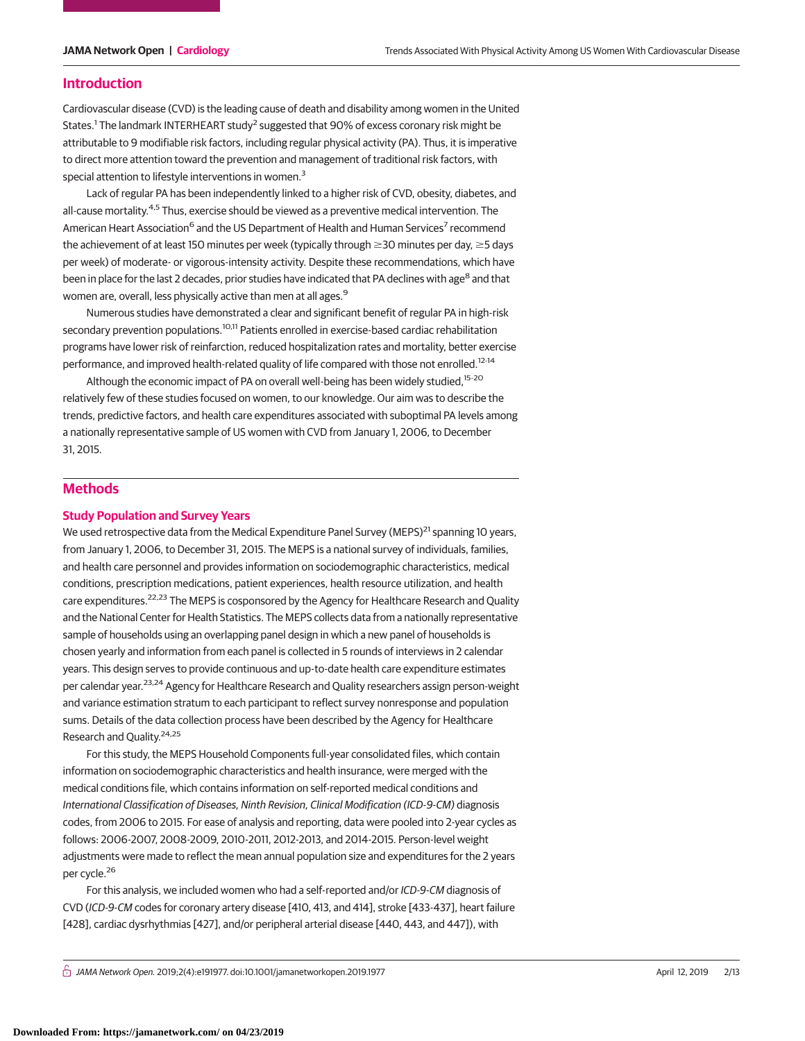### **Introduction**

Cardiovascular disease (CVD) is the leading cause of death and disability among women in the United States.<sup>1</sup> The landmark INTERHEART study<sup>2</sup> suggested that 90% of excess coronary risk might be attributable to 9 modifiable risk factors, including regular physical activity (PA). Thus, it is imperative to direct more attention toward the prevention and management of traditional risk factors, with special attention to lifestyle interventions in women.<sup>3</sup>

Lack of regular PA has been independently linked to a higher risk of CVD, obesity, diabetes, and all-cause mortality.<sup>4,5</sup> Thus, exercise should be viewed as a preventive medical intervention. The American Heart Association<sup>6</sup> and the US Department of Health and Human Services<sup>7</sup> recommend the achievement of at least 150 minutes per week (typically through  $\geq$ 30 minutes per day,  $\geq$ 5 days per week) of moderate- or vigorous-intensity activity. Despite these recommendations, which have been in place for the last 2 decades, prior studies have indicated that PA declines with age<sup>8</sup> and that women are, overall, less physically active than men at all ages.<sup>9</sup>

Numerous studies have demonstrated a clear and significant benefit of regular PA in high-risk secondary prevention populations.<sup>10,11</sup> Patients enrolled in exercise-based cardiac rehabilitation programs have lower risk of reinfarction, reduced hospitalization rates and mortality, better exercise performance, and improved health-related quality of life compared with those not enrolled.<sup>12-14</sup>

Although the economic impact of PA on overall well-being has been widely studied,<sup>15-20</sup> relatively few of these studies focused on women, to our knowledge. Our aim was to describe the trends, predictive factors, and health care expenditures associated with suboptimal PA levels among a nationally representative sample of US women with CVD from January 1, 2006, to December 31, 2015.

# **Methods**

#### **Study Population and Survey Years**

We used retrospective data from the Medical Expenditure Panel Survey (MEPS) $^{21}$  spanning 10 years, from January 1, 2006, to December 31, 2015. The MEPS is a national survey of individuals, families, and health care personnel and provides information on sociodemographic characteristics, medical conditions, prescription medications, patient experiences, health resource utilization, and health care expenditures.<sup>22,23</sup> The MEPS is cosponsored by the Agency for Healthcare Research and Quality and the National Center for Health Statistics. The MEPS collects data from a nationally representative sample of households using an overlapping panel design in which a new panel of households is chosen yearly and information from each panel is collected in 5 rounds of interviews in 2 calendar years. This design serves to provide continuous and up-to-date health care expenditure estimates per calendar year.<sup>23,24</sup> Agency for Healthcare Research and Quality researchers assign person-weight and variance estimation stratum to each participant to reflect survey nonresponse and population sums. Details of the data collection process have been described by the Agency for Healthcare Research and Quality.24,25

For this study, the MEPS Household Components full-year consolidated files, which contain information on sociodemographic characteristics and health insurance, were merged with the medical conditions file, which contains information on self-reported medical conditions and International Classification of Diseases, Ninth Revision, Clinical Modification (ICD-9-CM) diagnosis codes, from 2006 to 2015. For ease of analysis and reporting, data were pooled into 2-year cycles as follows: 2006-2007, 2008-2009, 2010-2011, 2012-2013, and 2014-2015. Person-level weight adjustments were made to reflect the mean annual population size and expenditures for the 2 years per cycle.<sup>26</sup>

For this analysis, we included women who had a self-reported and/or ICD-9-CM diagnosis of CVD (ICD-9-CM codes for coronary artery disease [410, 413, and 414], stroke [433-437], heart failure [428], cardiac dysrhythmias [427], and/or peripheral arterial disease [440, 443, and 447]), with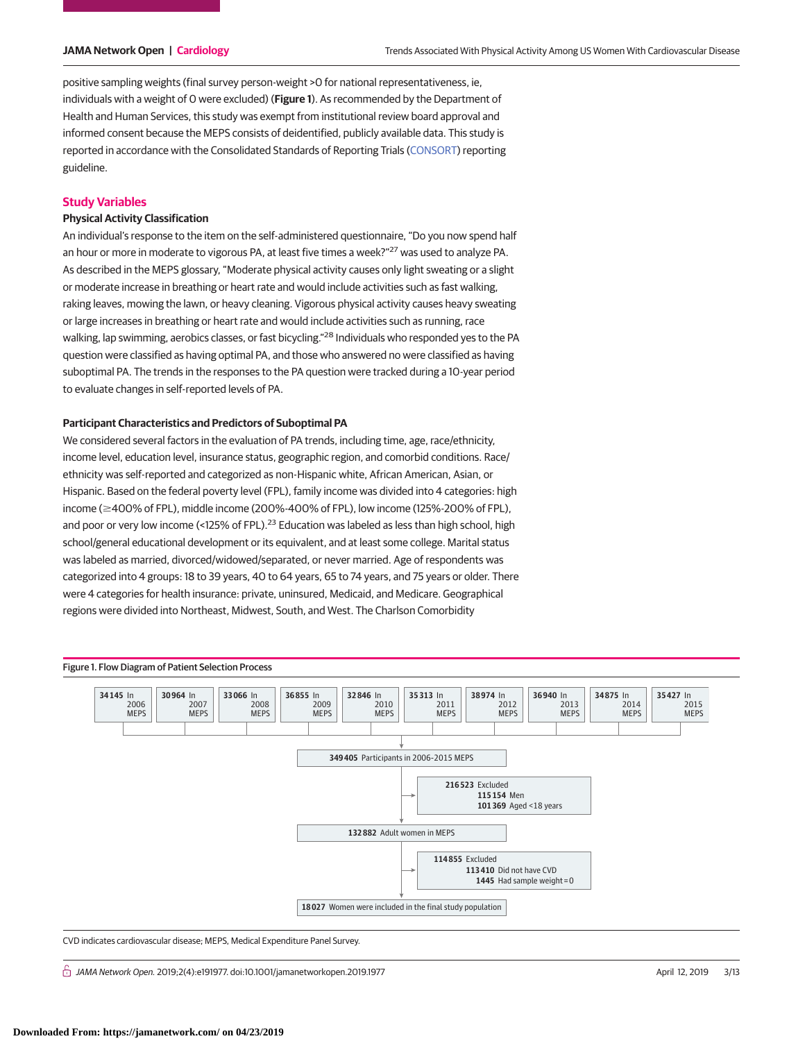positive sampling weights (final survey person-weight >0 for national representativeness, ie, individuals with a weight of 0 were excluded) (**Figure 1**). As recommended by the Department of Health and Human Services, this study was exempt from institutional review board approval and informed consent because the MEPS consists of deidentified, publicly available data. This study is reported in accordance with the Consolidated Standards of Reporting Trials [\(CONSORT\)](http://www.equator-network.org/reporting-guidelines/consort/) reporting guideline.

### **Study Variables**

### **Physical Activity Classification**

An individual's response to the item on the self-administered questionnaire, "Do you now spend half an hour or more in moderate to vigorous PA, at least five times a week?"<sup>27</sup> was used to analyze PA. As described in the MEPS glossary, "Moderate physical activity causes only light sweating or a slight or moderate increase in breathing or heart rate and would include activities such as fast walking, raking leaves, mowing the lawn, or heavy cleaning. Vigorous physical activity causes heavy sweating or large increases in breathing or heart rate and would include activities such as running, race walking, lap swimming, aerobics classes, or fast bicycling."<sup>28</sup> Individuals who responded yes to the PA question were classified as having optimal PA, and those who answered no were classified as having suboptimal PA. The trends in the responses to the PA question were tracked during a 10-year period to evaluate changes in self-reported levels of PA.

#### **Participant Characteristics and Predictors of Suboptimal PA**

We considered several factors in the evaluation of PA trends, including time, age, race/ethnicity, income level, education level, insurance status, geographic region, and comorbid conditions. Race/ ethnicity was self-reported and categorized as non-Hispanic white, African American, Asian, or Hispanic. Based on the federal poverty level (FPL), family income was divided into 4 categories: high income ( $\geq$ 400% of FPL), middle income (200%-400% of FPL), low income (125%-200% of FPL), and poor or very low income (<125% of FPL).<sup>23</sup> Education was labeled as less than high school, high school/general educational development or its equivalent, and at least some college. Marital status was labeled as married, divorced/widowed/separated, or never married. Age of respondents was categorized into 4 groups: 18 to 39 years, 40 to 64 years, 65 to 74 years, and 75 years or older. There were 4 categories for health insurance: private, uninsured, Medicaid, and Medicare. Geographical regions were divided into Northeast, Midwest, South, and West. The Charlson Comorbidity



CVD indicates cardiovascular disease; MEPS, Medical Expenditure Panel Survey.

 $\bigcap$  JAMA Network Open. 2019;2(4):e191977. doi:10.1001/jamanetworkopen.2019.1977 (April 12, 2019 12, 2019 12, 2019 12, 2019 12, 2019 12, 2019 12, 2019 12, 2019 12, 2019 12, 2019 12, 2019 12, 2019 12, 2019 12, 2019 12, 20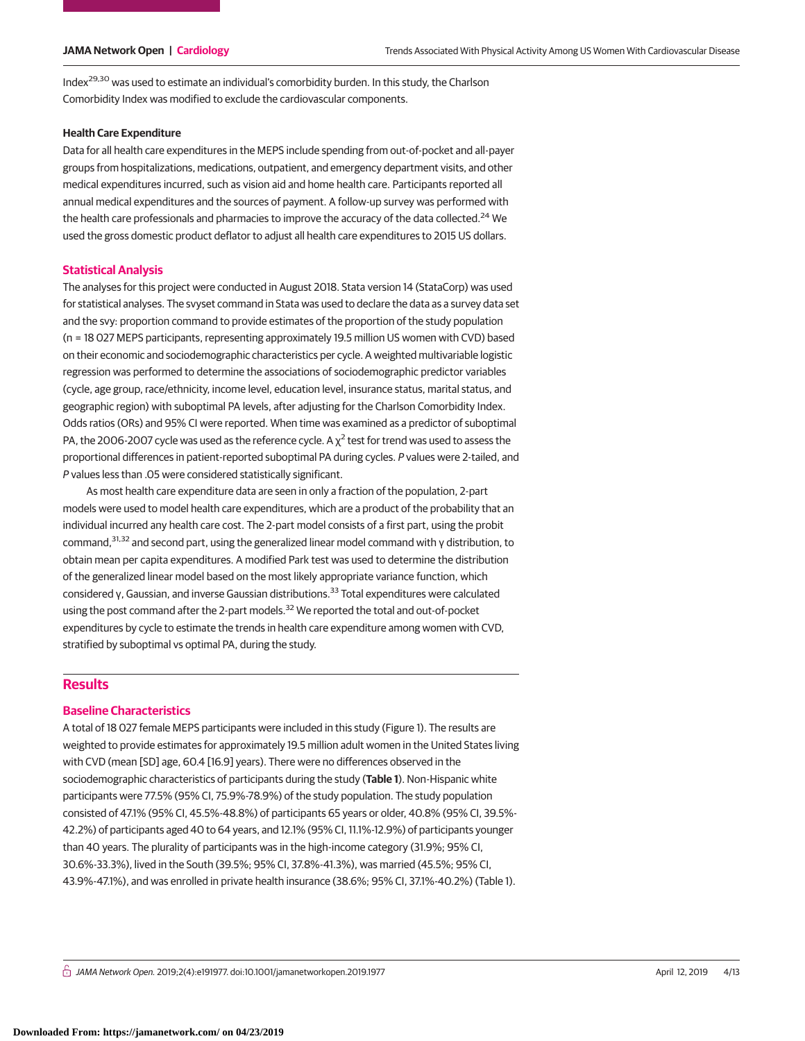Index29,30 was used to estimate an individual's comorbidity burden. In this study, the Charlson Comorbidity Index was modified to exclude the cardiovascular components.

#### **Health Care Expenditure**

Data for all health care expenditures in the MEPS include spending from out-of-pocket and all-payer groups from hospitalizations, medications, outpatient, and emergency department visits, and other medical expenditures incurred, such as vision aid and home health care. Participants reported all annual medical expenditures and the sources of payment. A follow-up survey was performed with the health care professionals and pharmacies to improve the accuracy of the data collected.<sup>24</sup> We used the gross domestic product deflator to adjust all health care expenditures to 2015 US dollars.

### **Statistical Analysis**

The analyses for this project were conducted in August 2018. Stata version 14 (StataCorp) was used for statistical analyses. The svyset command in Stata was used to declare the data as a survey data set and the svy: proportion command to provide estimates of the proportion of the study population (n = 18 027 MEPS participants, representing approximately 19.5 million US women with CVD) based on their economic and sociodemographic characteristics per cycle. A weighted multivariable logistic regression was performed to determine the associations of sociodemographic predictor variables (cycle, age group, race/ethnicity, income level, education level, insurance status, marital status, and geographic region) with suboptimal PA levels, after adjusting for the Charlson Comorbidity Index. Odds ratios (ORs) and 95% CI were reported. When time was examined as a predictor of suboptimal PA, the 2006-2007 cycle was used as the reference cycle. A  $\chi^2$  test for trend was used to assess the proportional differences in patient-reported suboptimal PA during cycles. P values were 2-tailed, and P values less than .05 were considered statistically significant.

As most health care expenditure data are seen in only a fraction of the population, 2-part models were used to model health care expenditures, which are a product of the probability that an individual incurred any health care cost. The 2-part model consists of a first part, using the probit command,31,32 and second part, using the generalized linear model command with γ distribution, to obtain mean per capita expenditures. A modified Park test was used to determine the distribution of the generalized linear model based on the most likely appropriate variance function, which considered γ, Gaussian, and inverse Gaussian distributions.<sup>33</sup> Total expenditures were calculated using the post command after the 2-part models.<sup>32</sup> We reported the total and out-of-pocket expenditures by cycle to estimate the trends in health care expenditure among women with CVD, stratified by suboptimal vs optimal PA, during the study.

# **Results**

### **Baseline Characteristics**

A total of 18 027 female MEPS participants were included in this study (Figure 1). The results are weighted to provide estimates for approximately 19.5 million adult women in the United States living with CVD (mean [SD] age, 60.4 [16.9] years). There were no differences observed in the sociodemographic characteristics of participants during the study (**Table 1**). Non-Hispanic white participants were 77.5% (95% CI, 75.9%-78.9%) of the study population. The study population consisted of 47.1% (95% CI, 45.5%-48.8%) of participants 65 years or older, 40.8% (95% CI, 39.5%- 42.2%) of participants aged 40 to 64 years, and 12.1% (95% CI, 11.1%-12.9%) of participants younger than 40 years. The plurality of participants was in the high-income category (31.9%; 95% CI, 30.6%-33.3%), lived in the South (39.5%; 95% CI, 37.8%-41.3%), was married (45.5%; 95% CI, 43.9%-47.1%), and was enrolled in private health insurance (38.6%; 95% CI, 37.1%-40.2%) (Table 1).

 $\stackrel{\curvearrowright}{\cap}$  JAMA Network Open. 2019;2(4):e191977. doi:10.1001/jamanetworkopen.2019.1977 (Reprinted) April 12, 2019 4/13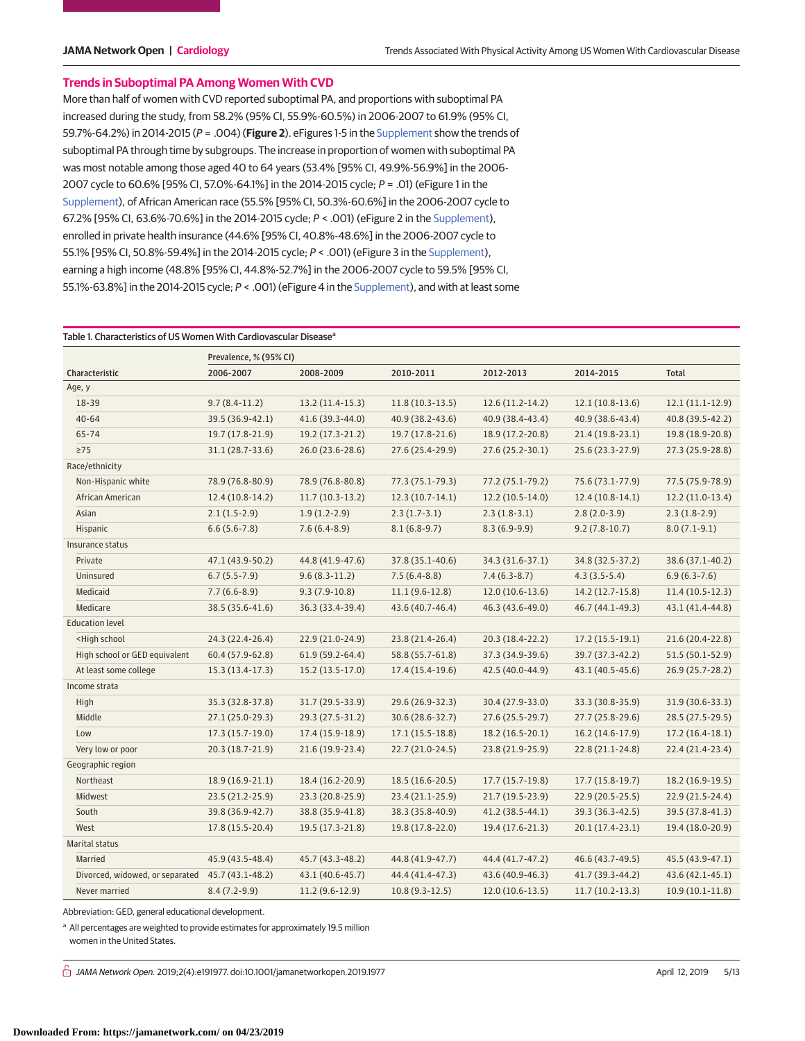# **Trends in Suboptimal PA Among Women With CVD**

More than half of women with CVD reported suboptimal PA, and proportions with suboptimal PA increased during the study, from 58.2% (95% CI, 55.9%-60.5%) in 2006-2007 to 61.9% (95% CI, 59.7%-64.2%) in 2014-2015 (P = .004) (**Figure 2**). eFigures 1-5 in the [Supplement](https://jama.jamanetwork.com/article.aspx?doi=10.1001/jamanetworkopen.2019.1977&utm_campaign=articlePDF%26utm_medium=articlePDFlink%26utm_source=articlePDF%26utm_content=jamanetworkopen.2019.1977) show the trends of suboptimal PA through time by subgroups. The increase in proportion of women with suboptimal PA was most notable among those aged 40 to 64 years (53.4% [95% CI, 49.9%-56.9%] in the 2006- 2007 cycle to 60.6% [95% CI, 57.0%-64.1%] in the 2014-2015 cycle; P = .01) (eFigure 1 in the [Supplement\)](https://jama.jamanetwork.com/article.aspx?doi=10.1001/jamanetworkopen.2019.1977&utm_campaign=articlePDF%26utm_medium=articlePDFlink%26utm_source=articlePDF%26utm_content=jamanetworkopen.2019.1977), of African American race (55.5% [95% CI, 50.3%-60.6%] in the 2006-2007 cycle to 67.2% [95% CI, 63.6%-70.6%] in the 2014-2015 cycle; P < .001) (eFigure 2 in the [Supplement\)](https://jama.jamanetwork.com/article.aspx?doi=10.1001/jamanetworkopen.2019.1977&utm_campaign=articlePDF%26utm_medium=articlePDFlink%26utm_source=articlePDF%26utm_content=jamanetworkopen.2019.1977), enrolled in private health insurance (44.6% [95% CI, 40.8%-48.6%] in the 2006-2007 cycle to 55.1% [95% CI, 50.8%-59.4%] in the 2014-2015 cycle; P < .001) (eFigure 3 in the [Supplement\)](https://jama.jamanetwork.com/article.aspx?doi=10.1001/jamanetworkopen.2019.1977&utm_campaign=articlePDF%26utm_medium=articlePDFlink%26utm_source=articlePDF%26utm_content=jamanetworkopen.2019.1977), earning a high income (48.8% [95% CI, 44.8%-52.7%] in the 2006-2007 cycle to 59.5% [95% CI, 55.1%-63.8%] in the 2014-2015 cycle; P < .001) (eFigure 4 in the [Supplement\)](https://jama.jamanetwork.com/article.aspx?doi=10.1001/jamanetworkopen.2019.1977&utm_campaign=articlePDF%26utm_medium=articlePDFlink%26utm_source=articlePDF%26utm_content=jamanetworkopen.2019.1977), and with at least some

|                                                                                                                                                                                      | Prevalence, % (95% CI) |                   |                   |                   |                   |                   |
|--------------------------------------------------------------------------------------------------------------------------------------------------------------------------------------|------------------------|-------------------|-------------------|-------------------|-------------------|-------------------|
| Characteristic                                                                                                                                                                       | 2006-2007              | 2008-2009         | 2010-2011         | 2012-2013         | 2014-2015         | <b>Total</b>      |
| Age, y                                                                                                                                                                               |                        |                   |                   |                   |                   |                   |
| 18-39                                                                                                                                                                                | $9.7(8.4-11.2)$        | $13.2(11.4-15.3)$ | $11.8(10.3-13.5)$ | $12.6(11.2-14.2)$ | $12.1(10.8-13.6)$ | $12.1(11.1-12.9)$ |
| $40 - 64$                                                                                                                                                                            | 39.5 (36.9-42.1)       | 41.6 (39.3-44.0)  | 40.9 (38.2-43.6)  | 40.9 (38.4-43.4)  | 40.9 (38.6-43.4)  | 40.8 (39.5-42.2)  |
| $65 - 74$                                                                                                                                                                            | 19.7 (17.8-21.9)       | 19.2 (17.3-21.2)  | 19.7 (17.8-21.6)  | 18.9 (17.2-20.8)  | 21.4 (19.8-23.1)  | 19.8 (18.9-20.8)  |
| $\geq$ 75                                                                                                                                                                            | 31.1 (28.7-33.6)       | 26.0 (23.6-28.6)  | 27.6 (25.4-29.9)  | 27.6 (25.2-30.1)  | 25.6 (23.3-27.9)  | 27.3 (25.9-28.8)  |
| Race/ethnicity                                                                                                                                                                       |                        |                   |                   |                   |                   |                   |
| Non-Hispanic white                                                                                                                                                                   | 78.9 (76.8-80.9)       | 78.9 (76.8-80.8)  | 77.3 (75.1-79.3)  | 77.2 (75.1-79.2)  | 75.6 (73.1-77.9)  | 77.5 (75.9-78.9)  |
| African American                                                                                                                                                                     | $12.4(10.8-14.2)$      | $11.7(10.3-13.2)$ | $12.3(10.7-14.1)$ | $12.2(10.5-14.0)$ | $12.4(10.8-14.1)$ | $12.2(11.0-13.4)$ |
| Asian                                                                                                                                                                                | $2.1(1.5-2.9)$         | $1.9(1.2-2.9)$    | $2.3(1.7-3.1)$    | $2.3(1.8-3.1)$    | $2.8(2.0-3.9)$    | $2.3(1.8-2.9)$    |
| Hispanic                                                                                                                                                                             | $6.6(5.6-7.8)$         | $7.6(6.4-8.9)$    | $8.1(6.8-9.7)$    | $8.3(6.9-9.9)$    | $9.2(7.8-10.7)$   | $8.0(7.1-9.1)$    |
| Insurance status                                                                                                                                                                     |                        |                   |                   |                   |                   |                   |
| Private                                                                                                                                                                              | 47.1 (43.9-50.2)       | 44.8 (41.9-47.6)  | 37.8 (35.1-40.6)  | 34.3 (31.6-37.1)  | 34.8 (32.5-37.2)  | 38.6 (37.1-40.2)  |
| Uninsured                                                                                                                                                                            | $6.7(5.5-7.9)$         | $9.6(8.3-11.2)$   | $7.5(6.4-8.8)$    | $7.4(6.3-8.7)$    | $4.3(3.5-5.4)$    | $6.9(6.3-7.6)$    |
| Medicaid                                                                                                                                                                             | $7.7(6.6-8.9)$         | $9.3(7.9-10.8)$   | $11.1(9.6-12.8)$  | $12.0(10.6-13.6)$ | 14.2 (12.7-15.8)  | $11.4(10.5-12.3)$ |
| Medicare                                                                                                                                                                             | 38.5 (35.6-41.6)       | 36.3 (33.4-39.4)  | 43.6 (40.7-46.4)  | 46.3 (43.6-49.0)  | 46.7 (44.1-49.3)  | 43.1 (41.4-44.8)  |
| <b>Education level</b>                                                                                                                                                               |                        |                   |                   |                   |                   |                   |
| <high school<="" td=""><td>24.3 (22.4-26.4)</td><td>22.9 (21.0-24.9)</td><td>23.8 (21.4-26.4)</td><td>20.3 (18.4-22.2)</td><td>17.2 (15.5-19.1)</td><td>21.6 (20.4-22.8)</td></high> | 24.3 (22.4-26.4)       | 22.9 (21.0-24.9)  | 23.8 (21.4-26.4)  | 20.3 (18.4-22.2)  | 17.2 (15.5-19.1)  | 21.6 (20.4-22.8)  |
| High school or GED equivalent                                                                                                                                                        | 60.4 (57.9-62.8)       | 61.9 (59.2-64.4)  | 58.8 (55.7-61.8)  | 37.3 (34.9-39.6)  | 39.7 (37.3-42.2)  | $51.5(50.1-52.9)$ |
| At least some college                                                                                                                                                                | 15.3 (13.4-17.3)       | 15.2 (13.5-17.0)  | 17.4 (15.4-19.6)  | 42.5 (40.0-44.9)  | 43.1 (40.5-45.6)  | 26.9 (25.7-28.2)  |
| Income strata                                                                                                                                                                        |                        |                   |                   |                   |                   |                   |
| High                                                                                                                                                                                 | 35.3 (32.8-37.8)       | 31.7 (29.5-33.9)  | 29.6 (26.9-32.3)  | 30.4 (27.9-33.0)  | 33.3 (30.8-35.9)  | 31.9 (30.6-33.3)  |
| Middle                                                                                                                                                                               | 27.1 (25.0-29.3)       | 29.3 (27.5-31.2)  | 30.6 (28.6-32.7)  | 27.6 (25.5-29.7)  | 27.7 (25.8-29.6)  | 28.5 (27.5-29.5)  |
| Low                                                                                                                                                                                  | 17.3 (15.7-19.0)       | 17.4 (15.9-18.9)  | $17.1(15.5-18.8)$ | 18.2 (16.5-20.1)  | 16.2 (14.6-17.9)  | $17.2(16.4-18.1)$ |
| Very low or poor                                                                                                                                                                     | 20.3 (18.7-21.9)       | 21.6 (19.9-23.4)  | 22.7 (21.0-24.5)  | 23.8 (21.9-25.9)  | 22.8 (21.1-24.8)  | 22.4 (21.4-23.4)  |
| Geographic region                                                                                                                                                                    |                        |                   |                   |                   |                   |                   |
| Northeast                                                                                                                                                                            | 18.9 (16.9-21.1)       | 18.4 (16.2-20.9)  | 18.5 (16.6-20.5)  | $17.7(15.7-19.8)$ | $17.7(15.8-19.7)$ | 18.2 (16.9-19.5)  |
| <b>Midwest</b>                                                                                                                                                                       | 23.5 (21.2-25.9)       | 23.3 (20.8-25.9)  | 23.4 (21.1-25.9)  | $21.7(19.5-23.9)$ | 22.9 (20.5-25.5)  | $22.9(21.5-24.4)$ |
| South                                                                                                                                                                                | 39.8 (36.9-42.7)       | 38.8 (35.9-41.8)  | 38.3 (35.8-40.9)  | 41.2 (38.5-44.1)  | 39.3 (36.3-42.5)  | 39.5 (37.8-41.3)  |
| West                                                                                                                                                                                 | 17.8 (15.5-20.4)       | 19.5 (17.3-21.8)  | 19.8 (17.8-22.0)  | 19.4 (17.6-21.3)  | 20.1 (17.4-23.1)  | 19.4 (18.0-20.9)  |
| Marital status                                                                                                                                                                       |                        |                   |                   |                   |                   |                   |
| Married                                                                                                                                                                              | 45.9 (43.5-48.4)       | 45.7 (43.3-48.2)  | 44.8 (41.9-47.7)  | 44.4 (41.7-47.2)  | 46.6 (43.7-49.5)  | 45.5 (43.9-47.1)  |
| Divorced, widowed, or separated                                                                                                                                                      | 45.7 (43.1-48.2)       | 43.1 (40.6-45.7)  | 44.4 (41.4-47.3)  | 43.6 (40.9-46.3)  | 41.7 (39.3-44.2)  | 43.6 (42.1-45.1)  |
| Never married                                                                                                                                                                        | $8.4(7.2-9.9)$         | $11.2(9.6-12.9)$  | $10.8(9.3-12.5)$  | $12.0(10.6-13.5)$ | $11.7(10.2-13.3)$ | $10.9(10.1-11.8)$ |

Abbreviation: GED, general educational development.

<sup>a</sup> All percentages are weighted to provide estimates for approximately 19.5 million women in the United States.

 $\bigcap$  JAMA Network Open. 2019;2(4):e191977. doi:10.1001/jamanetworkopen.2019.1977 (April 12, 2019 April 12, 2019 5/13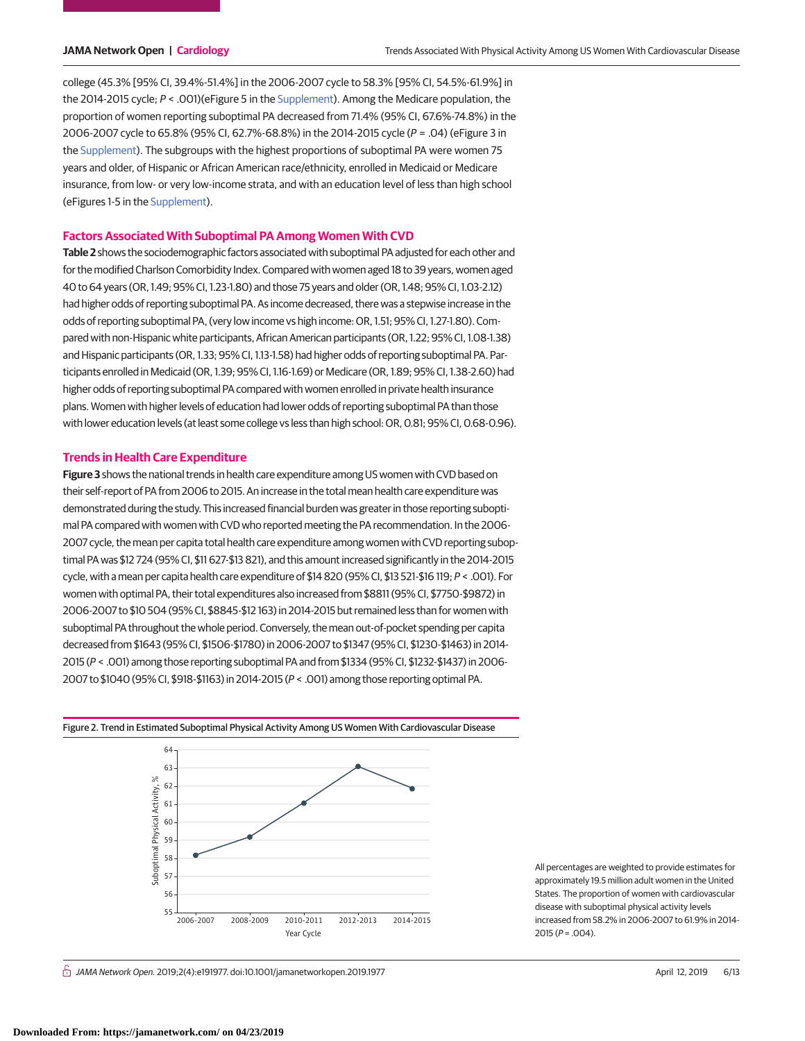college (45.3% [95% CI, 39.4%-51.4%] in the 2006-2007 cycle to 58.3% [95% CI, 54.5%-61.9%] in the 2014-2015 cycle; P < .001)(eFigure 5 in the [Supplement\)](https://jama.jamanetwork.com/article.aspx?doi=10.1001/jamanetworkopen.2019.1977&utm_campaign=articlePDF%26utm_medium=articlePDFlink%26utm_source=articlePDF%26utm_content=jamanetworkopen.2019.1977). Among the Medicare population, the proportion of women reporting suboptimal PA decreased from 71.4% (95% CI, 67.6%-74.8%) in the 2006-2007 cycle to 65.8% (95% CI, 62.7%-68.8%) in the 2014-2015 cycle (P = .04) (eFigure 3 in the [Supplement\)](https://jama.jamanetwork.com/article.aspx?doi=10.1001/jamanetworkopen.2019.1977&utm_campaign=articlePDF%26utm_medium=articlePDFlink%26utm_source=articlePDF%26utm_content=jamanetworkopen.2019.1977). The subgroups with the highest proportions of suboptimal PA were women 75 years and older, of Hispanic or African American race/ethnicity, enrolled in Medicaid or Medicare insurance, from low- or very low-income strata, and with an education level of less than high school (eFigures 1-5 in the [Supplement\)](https://jama.jamanetwork.com/article.aspx?doi=10.1001/jamanetworkopen.2019.1977&utm_campaign=articlePDF%26utm_medium=articlePDFlink%26utm_source=articlePDF%26utm_content=jamanetworkopen.2019.1977).

#### **Factors Associated With Suboptimal PA Among Women With CVD**

**Table 2** shows the sociodemographic factors associated with suboptimal PA adjusted for each other and for the modified Charlson Comorbidity Index. Compared with women aged 18 to 39 years, women aged 40 to 64 years (OR, 1.49; 95% CI, 1.23-1.80) and those 75 years and older (OR, 1.48; 95% CI, 1.03-2.12) had higher odds of reporting suboptimal PA. As income decreased, there was a stepwise increase in the odds of reporting suboptimal PA, (very low income vs high income: OR, 1.51; 95% CI, 1.27-1.80). Compared with non-Hispanic white participants, African American participants (OR, 1.22; 95% CI, 1.08-1.38) and Hispanic participants (OR, 1.33; 95% CI, 1.13-1.58) had higher odds of reporting suboptimal PA. Participants enrolled in Medicaid (OR, 1.39; 95% CI, 1.16-1.69) or Medicare (OR, 1.89; 95% CI, 1.38-2.60) had higher odds of reporting suboptimal PA compared with women enrolled in private health insurance plans. Women with higher levels of education had lower odds of reporting suboptimal PA than those with lower education levels (at least some college vs less than high school: OR, 0.81; 95% CI, 0.68-0.96).

#### **Trends in Health Care Expenditure**

**Figure 3** shows the national trends in health care expenditure among US women with CVD based on their self-report of PA from 2006 to 2015. An increase in the total mean health care expenditure was demonstrated during the study. This increased financial burden was greater in those reporting suboptimal PA compared with women with CVD who reported meeting the PA recommendation. In the 2006- 2007 cycle, the mean per capita total health care expenditure among women with CVD reporting suboptimal PA was \$12 724 (95% CI, \$11 627-\$13 821), and this amount increased significantly in the 2014-2015 cycle, with a mean per capita health care expenditure of \$14 820 (95% CI, \$13 521-\$16 119; P < .001). For women with optimal PA, their total expenditures also increased from \$8811 (95% CI, \$7750-\$9872) in 2006-2007 to \$10 504 (95% CI, \$8845-\$12 163) in 2014-2015 but remained less than for women with suboptimal PA throughout the whole period. Conversely, the mean out-of-pocket spending per capita decreased from \$1643 (95% CI, \$1506-\$1780) in 2006-2007 to \$1347 (95% CI, \$1230-\$1463) in 2014- 2015 (P < .001) among those reporting suboptimal PA and from \$1334 (95% CI, \$1232-\$1437) in 2006- 2007 to \$1040 (95% CI, \$918-\$1163) in 2014-2015 (P < .001) among those reporting optimal PA.



All percentages are weighted to provide estimates for approximately 19.5 million adult women in the United States. The proportion of women with cardiovascular disease with suboptimal physical activity levels increased from 58.2% in 2006-2007 to 61.9% in 2014- 2015 ( $P = .004$ ).

#### Figure 2. Trend in Estimated Suboptimal Physical Activity Among US Women With Cardiovascular Disease

 $\stackrel{\frown}{\cap}$  JAMA Network Open. 2019;2(4):e191977. doi:10.1001/jamanetworkopen.2019.1977 (Reprinted) April 12, 2019 6/13

**Downloaded From: https://jamanetwork.com/ on 04/23/2019**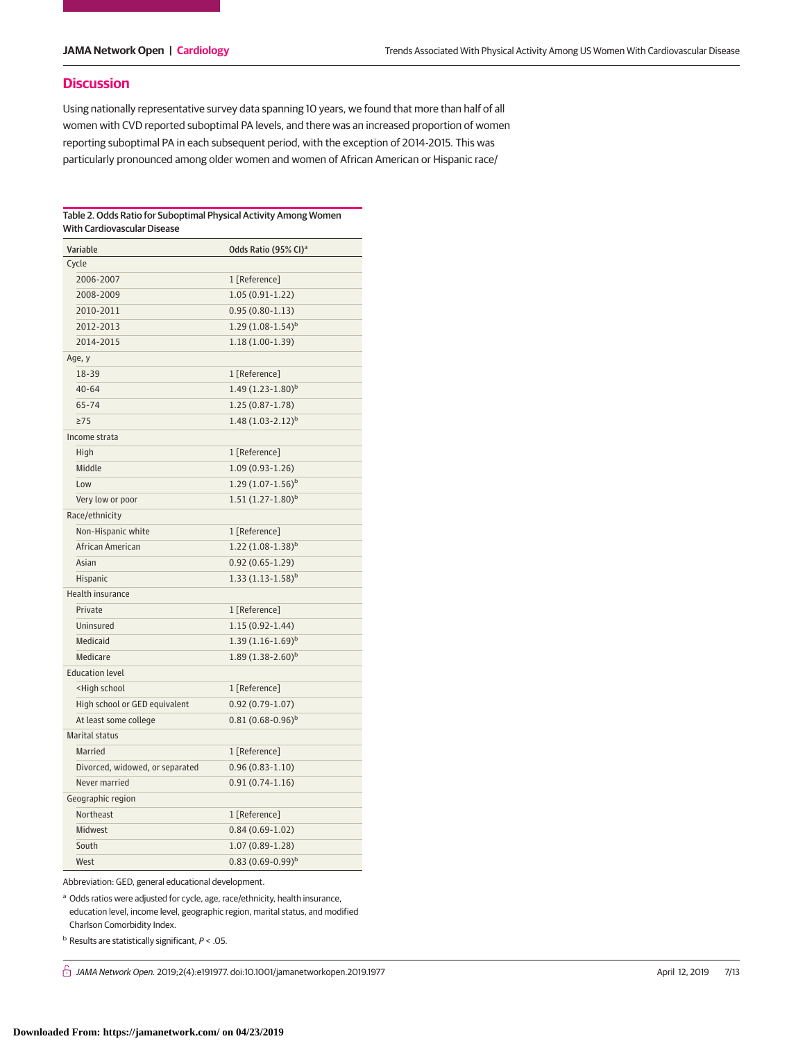# **Discussion**

Using nationally representative survey data spanning 10 years, we found that more than half of all women with CVD reported suboptimal PA levels, and there was an increased proportion of women reporting suboptimal PA in each subsequent period, with the exception of 2014-2015. This was particularly pronounced among older women and women of African American or Hispanic race/

#### Table 2. Odds Ratio for Suboptimal Physical Activity Among Women With Cardiovascular Disease

|                         | Variable                                             | Odds Ratio (95% CI) <sup>a</sup> |  |  |  |
|-------------------------|------------------------------------------------------|----------------------------------|--|--|--|
|                         | Cycle                                                |                                  |  |  |  |
|                         | 2006-2007                                            | 1 [Reference]                    |  |  |  |
|                         | 2008-2009                                            | $1.05(0.91-1.22)$                |  |  |  |
|                         | 2010-2011                                            | $0.95(0.80-1.13)$                |  |  |  |
|                         | 2012-2013                                            | $1.29(1.08-1.54)^{b}$            |  |  |  |
|                         | 2014-2015                                            | $1.18(1.00-1.39)$                |  |  |  |
|                         | Age, y                                               |                                  |  |  |  |
|                         | 18-39                                                | 1 [Reference]                    |  |  |  |
|                         | $40 - 64$                                            | $1.49(1.23-1.80)^{b}$            |  |  |  |
|                         | 65-74                                                | $1.25(0.87 - 1.78)$              |  |  |  |
|                         | $\geq$ 75                                            | $1.48(1.03-2.12)^{b}$            |  |  |  |
| Income strata           |                                                      |                                  |  |  |  |
|                         | High                                                 | 1 [Reference]                    |  |  |  |
|                         | Middle                                               | $1.09(0.93-1.26)$                |  |  |  |
|                         | Low                                                  | $1.29(1.07-1.56)^{b}$            |  |  |  |
|                         | Very low or poor                                     | $1.51(1.27-1.80)^{b}$            |  |  |  |
| Race/ethnicity          |                                                      |                                  |  |  |  |
|                         | Non-Hispanic white                                   | 1 [Reference]                    |  |  |  |
|                         | African American                                     | $1.22(1.08-1.38)^{b}$            |  |  |  |
|                         | Asian                                                | $0.92(0.65 - 1.29)$              |  |  |  |
|                         | Hispanic                                             | $1.33(1.13-1.58)^{b}$            |  |  |  |
| <b>Health insurance</b> |                                                      |                                  |  |  |  |
|                         | Private                                              | 1 [Reference]                    |  |  |  |
|                         | Uninsured                                            | $1.15(0.92 - 1.44)$              |  |  |  |
|                         | Medicaid                                             | $1.39(1.16-1.69)^{b}$            |  |  |  |
|                         | Medicare                                             | $1.89(1.38-2.60)^{b}$            |  |  |  |
|                         | <b>Education level</b>                               |                                  |  |  |  |
|                         | <high school<="" td=""><td>1 [Reference]</td></high> | 1 [Reference]                    |  |  |  |
|                         | High school or GED equivalent                        | $0.92(0.79-1.07)$                |  |  |  |
|                         | At least some college                                | $0.81(0.68-0.96)^b$              |  |  |  |
| <b>Marital status</b>   |                                                      |                                  |  |  |  |
|                         | Married                                              | 1 [Reference]                    |  |  |  |
|                         | Divorced, widowed, or separated                      | $0.96(0.83 - 1.10)$              |  |  |  |
|                         | Never married                                        | $0.91(0.74-1.16)$                |  |  |  |
| Geographic region       |                                                      |                                  |  |  |  |
|                         | Northeast                                            | 1 [Reference]                    |  |  |  |
|                         | Midwest                                              | $0.84(0.69-1.02)$                |  |  |  |
|                         | South                                                | $1.07(0.89-1.28)$                |  |  |  |
|                         | West                                                 | $0.83(0.69-0.99)^b$              |  |  |  |

Abbreviation: GED, general educational development.

<sup>a</sup> Odds ratios were adjusted for cycle, age, race/ethnicity, health insurance, education level, income level, geographic region, marital status, and modified Charlson Comorbidity Index.

 $<sup>b</sup>$  Results are statistically significant,  $P < .05$ .</sup>

 $\hat{\cap}$  JAMA Network Open. 2019;2(4):e191977. doi:10.1001/jamanetworkopen.2019.1977 (Reprinted) April 12, 2019 7/13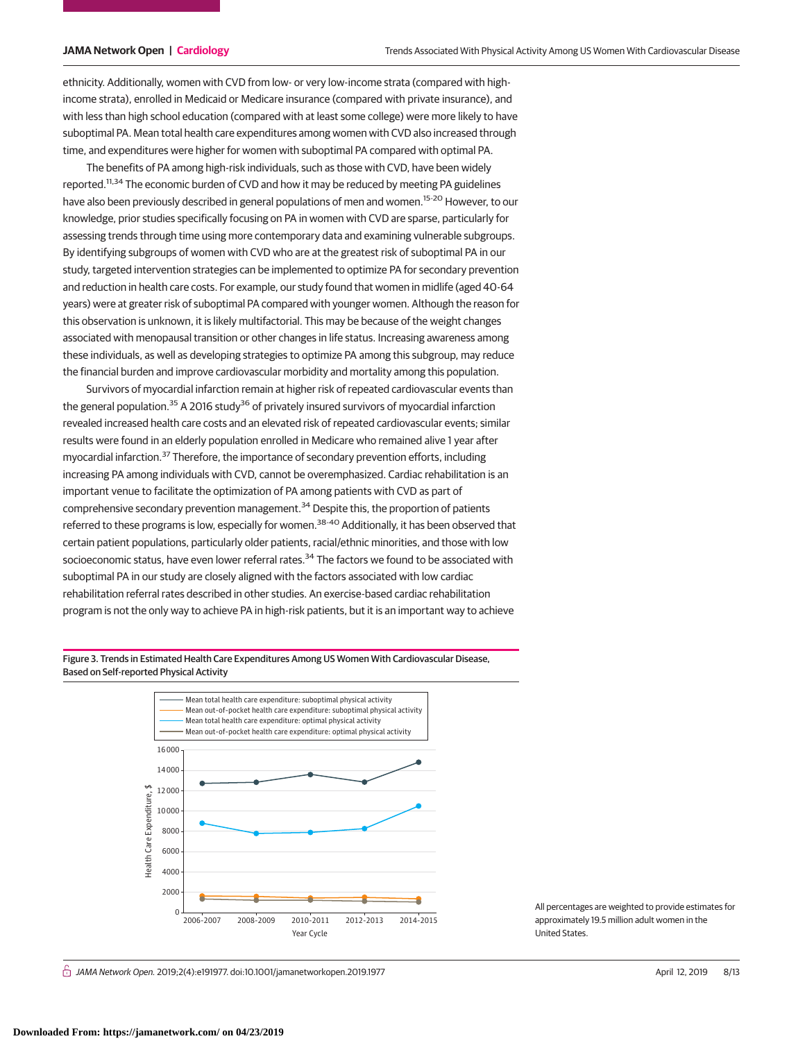ethnicity. Additionally, women with CVD from low- or very low-income strata (compared with highincome strata), enrolled in Medicaid or Medicare insurance (compared with private insurance), and with less than high school education (compared with at least some college) were more likely to have suboptimal PA. Mean total health care expenditures among women with CVD also increased through time, and expenditures were higher for women with suboptimal PA compared with optimal PA.

The benefits of PA among high-risk individuals, such as those with CVD, have been widely reported.<sup>11,34</sup> The economic burden of CVD and how it may be reduced by meeting PA guidelines have also been previously described in general populations of men and women.<sup>15-20</sup> However, to our knowledge, prior studies specifically focusing on PA in women with CVD are sparse, particularly for assessing trends through time using more contemporary data and examining vulnerable subgroups. By identifying subgroups of women with CVD who are at the greatest risk of suboptimal PA in our study, targeted intervention strategies can be implemented to optimize PA for secondary prevention and reduction in health care costs. For example, our study found that women in midlife (aged 40-64 years) were at greater risk of suboptimal PA compared with younger women. Although the reason for this observation is unknown, it is likely multifactorial. This may be because of the weight changes associated with menopausal transition or other changes in life status. Increasing awareness among these individuals, as well as developing strategies to optimize PA among this subgroup, may reduce the financial burden and improve cardiovascular morbidity and mortality among this population.

Survivors of myocardial infarction remain at higher risk of repeated cardiovascular events than the general population.<sup>35</sup> A 2016 study<sup>36</sup> of privately insured survivors of myocardial infarction revealed increased health care costs and an elevated risk of repeated cardiovascular events; similar results were found in an elderly population enrolled in Medicare who remained alive 1 year after myocardial infarction.<sup>37</sup> Therefore, the importance of secondary prevention efforts, including increasing PA among individuals with CVD, cannot be overemphasized. Cardiac rehabilitation is an important venue to facilitate the optimization of PA among patients with CVD as part of comprehensive secondary prevention management. $34$  Despite this, the proportion of patients referred to these programs is low, especially for women.<sup>38-40</sup> Additionally, it has been observed that certain patient populations, particularly older patients, racial/ethnic minorities, and those with low socioeconomic status, have even lower referral rates.<sup>34</sup> The factors we found to be associated with suboptimal PA in our study are closely aligned with the factors associated with low cardiac rehabilitation referral rates described in other studies. An exercise-based cardiac rehabilitation program is not the only way to achieve PA in high-risk patients, but it is an important way to achieve

Figure 3. Trends in Estimated Health Care Expenditures Among US Women With Cardiovascular Disease, Based on Self-reported Physical Activity



All percentages are weighted to provide estimates for approximately 19.5 million adult women in the United States.

 $\stackrel{\frown}{\cap}$  JAMA Network Open. 2019;2(4):e191977. doi:10.1001/jamanetworkopen.2019.1977 (Reprinted) April 12, 2019 8/13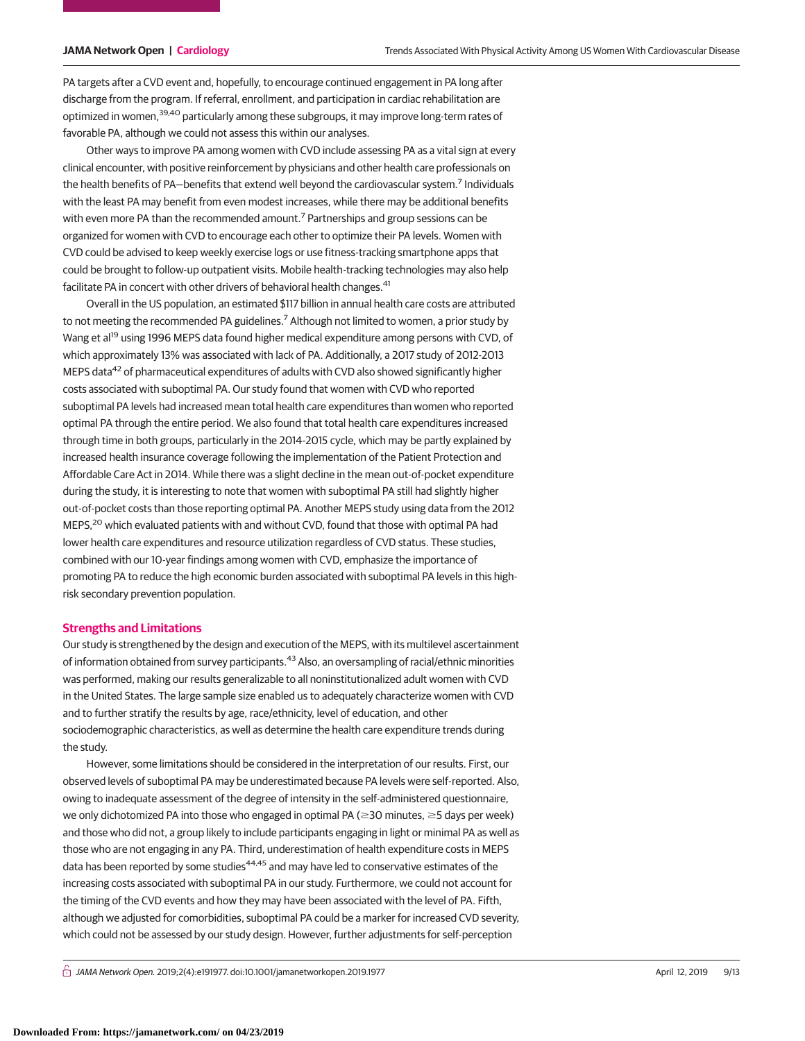PA targets after a CVD event and, hopefully, to encourage continued engagement in PA long after discharge from the program. If referral, enrollment, and participation in cardiac rehabilitation are optimized in women,<sup>39,40</sup> particularly among these subgroups, it may improve long-term rates of favorable PA, although we could not assess this within our analyses.

Other ways to improve PA among women with CVD include assessing PA as a vital sign at every clinical encounter, with positive reinforcement by physicians and other health care professionals on the health benefits of PA—benefits that extend well beyond the cardiovascular system.<sup>7</sup> Individuals with the least PA may benefit from even modest increases, while there may be additional benefits with even more PA than the recommended amount.<sup>7</sup> Partnerships and group sessions can be organized for women with CVD to encourage each other to optimize their PA levels. Women with CVD could be advised to keep weekly exercise logs or use fitness-tracking smartphone apps that could be brought to follow-up outpatient visits. Mobile health-tracking technologies may also help facilitate PA in concert with other drivers of behavioral health changes.<sup>41</sup>

Overall in the US population, an estimated \$117 billion in annual health care costs are attributed to not meeting the recommended PA guidelines.<sup>7</sup> Although not limited to women, a prior study by Wang et al<sup>19</sup> using 1996 MEPS data found higher medical expenditure among persons with CVD, of which approximately 13% was associated with lack of PA. Additionally, a 2017 study of 2012-2013 MEPS data<sup>42</sup> of pharmaceutical expenditures of adults with CVD also showed significantly higher costs associated with suboptimal PA. Our study found that women with CVD who reported suboptimal PA levels had increased mean total health care expenditures than women who reported optimal PA through the entire period. We also found that total health care expenditures increased through time in both groups, particularly in the 2014-2015 cycle, which may be partly explained by increased health insurance coverage following the implementation of the Patient Protection and Affordable Care Act in 2014. While there was a slight decline in the mean out-of-pocket expenditure during the study, it is interesting to note that women with suboptimal PA still had slightly higher out-of-pocket costs than those reporting optimal PA. Another MEPS study using data from the 2012 MEPS,<sup>20</sup> which evaluated patients with and without CVD, found that those with optimal PA had lower health care expenditures and resource utilization regardless of CVD status. These studies, combined with our 10-year findings among women with CVD, emphasize the importance of promoting PA to reduce the high economic burden associated with suboptimal PA levels in this highrisk secondary prevention population.

# **Strengths and Limitations**

Our study is strengthened by the design and execution of the MEPS, with its multilevel ascertainment of information obtained from survey participants.<sup>43</sup> Also, an oversampling of racial/ethnic minorities was performed, making our results generalizable to all noninstitutionalized adult women with CVD in the United States. The large sample size enabled us to adequately characterize women with CVD and to further stratify the results by age, race/ethnicity, level of education, and other sociodemographic characteristics, as well as determine the health care expenditure trends during the study.

However, some limitations should be considered in the interpretation of our results. First, our observed levels of suboptimal PA may be underestimated because PA levels were self-reported. Also, owing to inadequate assessment of the degree of intensity in the self-administered questionnaire, we only dichotomized PA into those who engaged in optimal PA ( $\geq$ 30 minutes,  $\geq$ 5 days per week) and those who did not, a group likely to include participants engaging in light or minimal PA as well as those who are not engaging in any PA. Third, underestimation of health expenditure costs in MEPS data has been reported by some studies<sup>44,45</sup> and may have led to conservative estimates of the increasing costs associated with suboptimal PA in our study. Furthermore, we could not account for the timing of the CVD events and how they may have been associated with the level of PA. Fifth, although we adjusted for comorbidities, suboptimal PA could be a marker for increased CVD severity, which could not be assessed by our study design. However, further adjustments for self-perception

 $\bigcap$  JAMA Network Open. 2019;2(4):e191977. doi:10.1001/jamanetworkopen.2019.1977 (April 12, 2019 9/13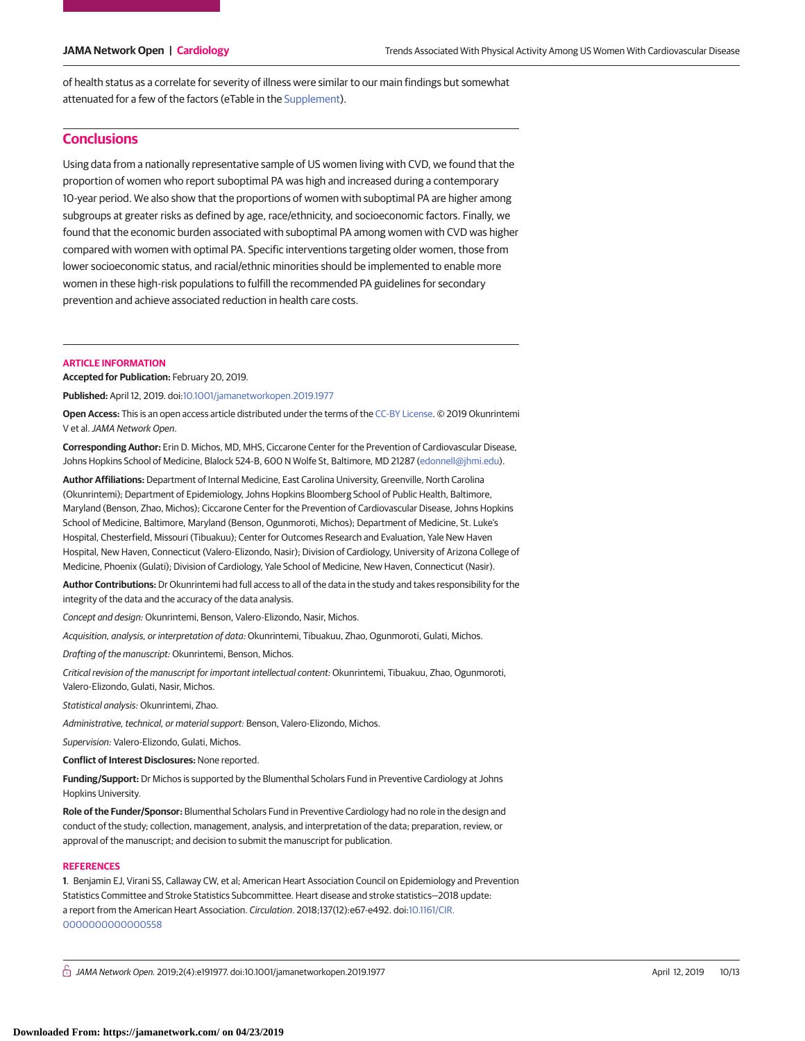of health status as a correlate for severity of illness were similar to our main findings but somewhat attenuated for a few of the factors (eTable in the [Supplement\)](https://jama.jamanetwork.com/article.aspx?doi=10.1001/jamanetworkopen.2019.1977&utm_campaign=articlePDF%26utm_medium=articlePDFlink%26utm_source=articlePDF%26utm_content=jamanetworkopen.2019.1977).

# **Conclusions**

Using data from a nationally representative sample of US women living with CVD, we found that the proportion of women who report suboptimal PA was high and increased during a contemporary 10-year period. We also show that the proportions of women with suboptimal PA are higher among subgroups at greater risks as defined by age, race/ethnicity, and socioeconomic factors. Finally, we found that the economic burden associated with suboptimal PA among women with CVD was higher compared with women with optimal PA. Specific interventions targeting older women, those from lower socioeconomic status, and racial/ethnic minorities should be implemented to enable more women in these high-risk populations to fulfill the recommended PA guidelines for secondary prevention and achieve associated reduction in health care costs.

#### **ARTICLE INFORMATION**

**Accepted for Publication:** February 20, 2019.

**Published:** April 12, 2019. doi[:10.1001/jamanetworkopen.2019.1977](https://jama.jamanetwork.com/article.aspx?doi=10.1001/jamanetworkopen.2019.1977&utm_campaign=articlePDF%26utm_medium=articlePDFlink%26utm_source=articlePDF%26utm_content=jamanetworkopen.2019.1977)

**Open Access:** This is an open access article distributed under the terms of the [CC-BY License.](https://jamanetwork.com/journals/jamanetworkopen/pages/instructions-for-authors#SecOpenAccess/?utm_campaign=articlePDF%26utm_medium=articlePDFlink%26utm_source=articlePDF%26utm_content=jamanetworkopen.2019.1977) © 2019 Okunrintemi V et al.JAMA Network Open.

**Corresponding Author:** Erin D. Michos, MD, MHS, Ciccarone Center for the Prevention of Cardiovascular Disease, Johns Hopkins School of Medicine, Blalock 524-B, 600 N Wolfe St, Baltimore, MD 21287 [\(edonnell@jhmi.edu\)](mailto:edonnell@jhmi.edu).

**Author Affiliations:** Department of Internal Medicine, East Carolina University, Greenville, North Carolina (Okunrintemi); Department of Epidemiology, Johns Hopkins Bloomberg School of Public Health, Baltimore, Maryland (Benson, Zhao, Michos); Ciccarone Center for the Prevention of Cardiovascular Disease, Johns Hopkins School of Medicine, Baltimore, Maryland (Benson, Ogunmoroti, Michos); Department of Medicine, St. Luke's Hospital, Chesterfield, Missouri (Tibuakuu); Center for Outcomes Research and Evaluation, Yale New Haven Hospital, New Haven, Connecticut (Valero-Elizondo, Nasir); Division of Cardiology, University of Arizona College of Medicine, Phoenix (Gulati); Division of Cardiology, Yale School of Medicine, New Haven, Connecticut (Nasir).

**Author Contributions:** Dr Okunrintemi had full access to all of the data in the study and takes responsibility for the integrity of the data and the accuracy of the data analysis.

Concept and design: Okunrintemi, Benson, Valero-Elizondo, Nasir, Michos.

Acquisition, analysis, or interpretation of data: Okunrintemi, Tibuakuu, Zhao, Ogunmoroti, Gulati, Michos.

Drafting of the manuscript: Okunrintemi, Benson, Michos.

Critical revision of the manuscript for important intellectual content: Okunrintemi, Tibuakuu, Zhao, Ogunmoroti, Valero-Elizondo, Gulati, Nasir, Michos.

Statistical analysis: Okunrintemi, Zhao.

Administrative, technical, or material support: Benson, Valero-Elizondo, Michos.

Supervision: Valero-Elizondo, Gulati, Michos.

**Conflict of Interest Disclosures:** None reported.

**Funding/Support:** Dr Michos is supported by the Blumenthal Scholars Fund in Preventive Cardiology at Johns Hopkins University.

**Role of the Funder/Sponsor:** Blumenthal Scholars Fund in Preventive Cardiology had no role in the design and conduct of the study; collection, management, analysis, and interpretation of the data; preparation, review, or approval of the manuscript; and decision to submit the manuscript for publication.

#### **REFERENCES**

**1**. Benjamin EJ, Virani SS, Callaway CW, et al; American Heart Association Council on Epidemiology and Prevention Statistics Committee and Stroke Statistics Subcommittee. Heart disease and stroke statistics—2018 update: a report from the American Heart Association. Circulation. 2018;137(12):e67-e492. doi[:10.1161/CIR.](https://dx.doi.org/10.1161/CIR.0000000000000558) [0000000000000558](https://dx.doi.org/10.1161/CIR.0000000000000558)

 $\bigcap$  JAMA Network Open. 2019;2(4):e191977. doi:10.1001/jamanetworkopen.2019.1977 (April 12, 2019 10/13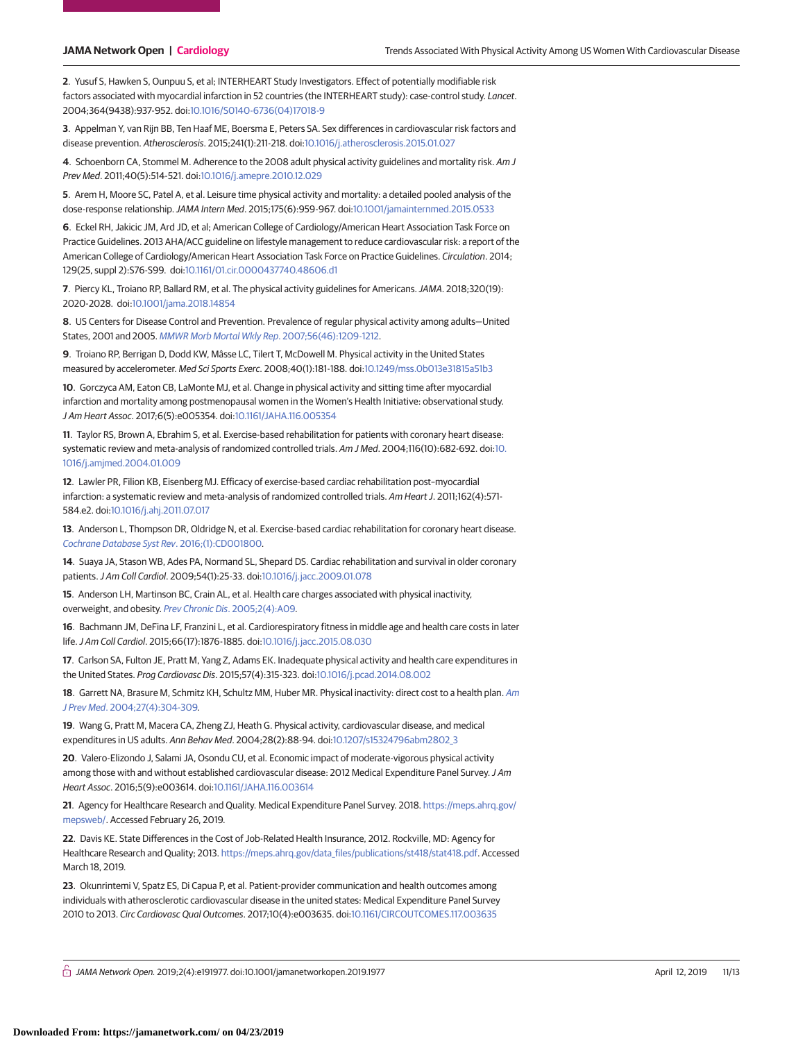**2**. Yusuf S, Hawken S, Ounpuu S, et al; INTERHEART Study Investigators. Effect of potentially modifiable risk factors associated with myocardial infarction in 52 countries (the INTERHEART study): case-control study. Lancet. 2004;364(9438):937-952. doi[:10.1016/S0140-6736\(04\)17018-9](https://dx.doi.org/10.1016/S0140-6736(04)17018-9)

**3**. Appelman Y, van Rijn BB, Ten Haaf ME, Boersma E, Peters SA. Sex differences in cardiovascular risk factors and disease prevention. Atherosclerosis. 2015;241(1):211-218. doi[:10.1016/j.atherosclerosis.2015.01.027](https://dx.doi.org/10.1016/j.atherosclerosis.2015.01.027)

**4**. Schoenborn CA, Stommel M. Adherence to the 2008 adult physical activity guidelines and mortality risk. Am J Prev Med. 2011;40(5):514-521. doi[:10.1016/j.amepre.2010.12.029](https://dx.doi.org/10.1016/j.amepre.2010.12.029)

**5**. Arem H, Moore SC, Patel A, et al. Leisure time physical activity and mortality: a detailed pooled analysis of the dose-response relationship.JAMA Intern Med. 2015;175(6):959-967. doi[:10.1001/jamainternmed.2015.0533](https://jama.jamanetwork.com/article.aspx?doi=10.1001/jamainternmed.2015.0533&utm_campaign=articlePDF%26utm_medium=articlePDFlink%26utm_source=articlePDF%26utm_content=jamanetworkopen.2019.1977)

**6**. Eckel RH, Jakicic JM, Ard JD, et al; American College of Cardiology/American Heart Association Task Force on Practice Guidelines. 2013 AHA/ACC guideline on lifestyle management to reduce cardiovascular risk: a report of the American College of Cardiology/American Heart Association Task Force on Practice Guidelines. Circulation. 2014; 129(25, suppl 2):S76-S99. doi[:10.1161/01.cir.0000437740.48606.d1](https://dx.doi.org/10.1161/01.cir.0000437740.48606.d1)

**7**. Piercy KL, Troiano RP, Ballard RM, et al. The physical activity guidelines for Americans.JAMA. 2018;320(19): 2020-2028. doi[:10.1001/jama.2018.14854](https://jama.jamanetwork.com/article.aspx?doi=10.1001/jama.2018.14854&utm_campaign=articlePDF%26utm_medium=articlePDFlink%26utm_source=articlePDF%26utm_content=jamanetworkopen.2019.1977)

**8**. US Centers for Disease Control and Prevention. Prevalence of regular physical activity among adults—United States, 2001 and 2005. [MMWR Morb Mortal Wkly Rep](https://www.ncbi.nlm.nih.gov/pubmed/18030281). 2007;56(46):1209-1212.

**9**. Troiano RP, Berrigan D, Dodd KW, Mâsse LC, Tilert T, McDowell M. Physical activity in the United States measured by accelerometer. Med Sci Sports Exerc. 2008;40(1):181-188. doi[:10.1249/mss.0b013e31815a51b3](https://dx.doi.org/10.1249/mss.0b013e31815a51b3)

**10**. Gorczyca AM, Eaton CB, LaMonte MJ, et al. Change in physical activity and sitting time after myocardial infarction and mortality among postmenopausal women in the Women's Health Initiative: observational study. J Am Heart Assoc. 2017;6(5):e005354. doi[:10.1161/JAHA.116.005354](https://dx.doi.org/10.1161/JAHA.116.005354)

**11**. Taylor RS, Brown A, Ebrahim S, et al. Exercise-based rehabilitation for patients with coronary heart disease: systematic review and meta-analysis of randomized controlled trials. Am J Med. 2004;116(10):682-692. doi[:10.](https://dx.doi.org/10.1016/j.amjmed.2004.01.009) [1016/j.amjmed.2004.01.009](https://dx.doi.org/10.1016/j.amjmed.2004.01.009)

**12**. Lawler PR, Filion KB, Eisenberg MJ. Efficacy of exercise-based cardiac rehabilitation post–myocardial infarction: a systematic review and meta-analysis of randomized controlled trials. Am Heart J. 2011;162(4):571- 584.e2. doi[:10.1016/j.ahj.2011.07.017](https://dx.doi.org/10.1016/j.ahj.2011.07.017)

**13**. Anderson L, Thompson DR, Oldridge N, et al. Exercise-based cardiac rehabilitation for coronary heart disease. [Cochrane Database Syst Rev](https://www.ncbi.nlm.nih.gov/pubmed/26730878). 2016;(1):CD001800.

**14**. Suaya JA, Stason WB, Ades PA, Normand SL, Shepard DS. Cardiac rehabilitation and survival in older coronary patients.J Am Coll Cardiol. 2009;54(1):25-33. doi[:10.1016/j.jacc.2009.01.078](https://dx.doi.org/10.1016/j.jacc.2009.01.078)

**15**. Anderson LH, Martinson BC, Crain AL, et al. Health care charges associated with physical inactivity, overweight, and obesity. Prev Chronic Dis[. 2005;2\(4\):A09.](https://www.ncbi.nlm.nih.gov/pubmed/16164813)

**16**. Bachmann JM, DeFina LF, Franzini L, et al. Cardiorespiratory fitness in middle age and health care costs in later life.J Am Coll Cardiol. 2015;66(17):1876-1885. doi[:10.1016/j.jacc.2015.08.030](https://dx.doi.org/10.1016/j.jacc.2015.08.030)

**17**. Carlson SA, Fulton JE, Pratt M, Yang Z, Adams EK. Inadequate physical activity and health care expenditures in the United States. Prog Cardiovasc Dis. 2015;57(4):315-323. doi[:10.1016/j.pcad.2014.08.002](https://dx.doi.org/10.1016/j.pcad.2014.08.002)

**18**. Garrett NA, Brasure M, Schmitz KH, Schultz MM, Huber MR. Physical inactivity: direct cost to a health plan. [Am](https://www.ncbi.nlm.nih.gov/pubmed/15488360) J Prev Med[. 2004;27\(4\):304-309.](https://www.ncbi.nlm.nih.gov/pubmed/15488360)

**19**. Wang G, Pratt M, Macera CA, Zheng ZJ, Heath G. Physical activity, cardiovascular disease, and medical expenditures in US adults. Ann Behav Med. 2004;28(2):88-94. doi[:10.1207/s15324796abm2802\\_3](https://dx.doi.org/10.1207/s15324796abm2802_3)

**20**. Valero-Elizondo J, Salami JA, Osondu CU, et al. Economic impact of moderate-vigorous physical activity among those with and without established cardiovascular disease: 2012 Medical Expenditure Panel Survey. JAm Heart Assoc. 2016;5(9):e003614. doi[:10.1161/JAHA.116.003614](https://dx.doi.org/10.1161/JAHA.116.003614)

**21**. Agency for Healthcare Research and Quality. Medical Expenditure Panel Survey. 2018. [https://meps.ahrq.gov/](https://meps.ahrq.gov/mepsweb/) [mepsweb/.](https://meps.ahrq.gov/mepsweb/) Accessed February 26, 2019.

**22**. Davis KE. State Differences in the Cost of Job-Related Health Insurance, 2012. Rockville, MD: Agency for Healthcare Research and Quality; 2013. [https://meps.ahrq.gov/data\\_files/publications/st418/stat418.pdf.](https://meps.ahrq.gov/data_files/publications/st418/stat418.pdf) Accessed March 18, 2019.

**23**. Okunrintemi V, Spatz ES, Di Capua P, et al. Patient-provider communication and health outcomes among individuals with atherosclerotic cardiovascular disease in the united states: Medical Expenditure Panel Survey 2010 to 2013. Circ Cardiovasc Qual Outcomes. 2017;10(4):e003635. doi[:10.1161/CIRCOUTCOMES.117.003635](https://dx.doi.org/10.1161/CIRCOUTCOMES.117.003635)

 $\bigcap$  JAMA Network Open. 2019;2(4):e191977. doi:10.1001/jamanetworkopen.2019.1977 (April 12, 2019 11/13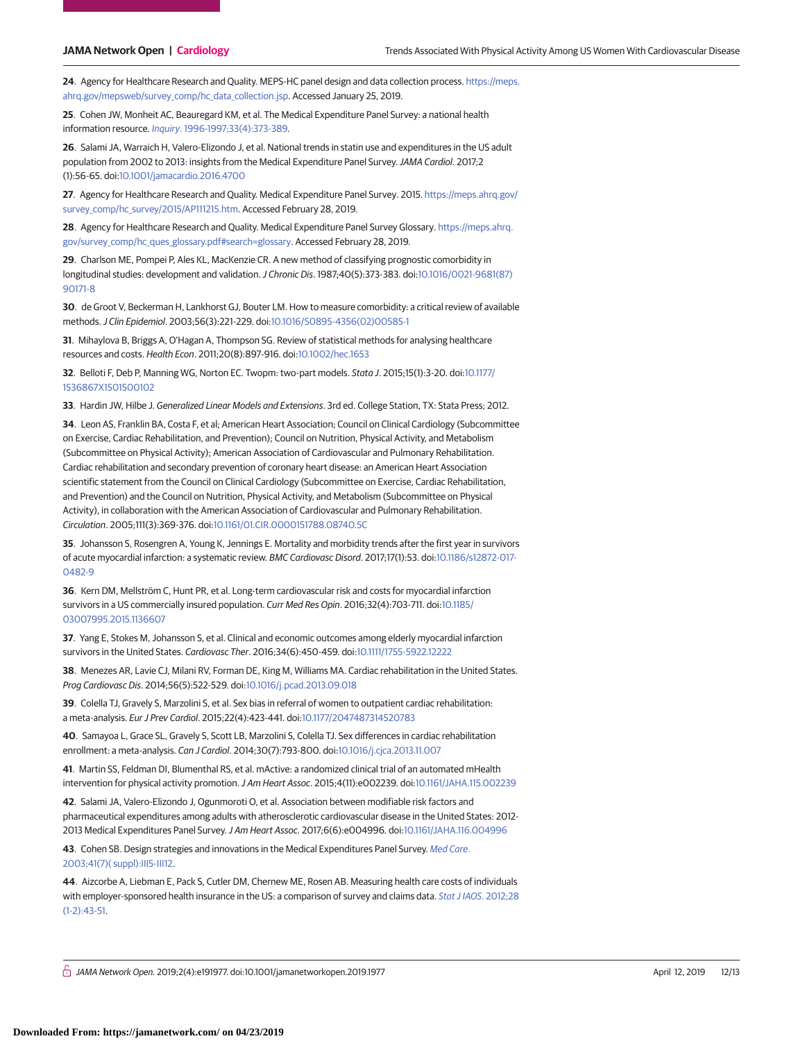**24**. Agency for Healthcare Research and Quality. MEPS-HC panel design and data collection process. [https://meps.](https://meps.ahrq.gov/mepsweb/survey_comp/hc_data_collection.jsp) [ahrq.gov/mepsweb/survey\\_comp/hc\\_data\\_collection.jsp.](https://meps.ahrq.gov/mepsweb/survey_comp/hc_data_collection.jsp) Accessed January 25, 2019.

**25**. Cohen JW, Monheit AC, Beauregard KM, et al. The Medical Expenditure Panel Survey: a national health information resource. Inquiry[. 1996-1997;33\(4\):373-389.](https://www.ncbi.nlm.nih.gov/pubmed/9031653)

**26**. Salami JA, Warraich H, Valero-Elizondo J, et al. National trends in statin use and expenditures in the US adult population from 2002 to 2013: insights from the Medical Expenditure Panel Survey.JAMA Cardiol. 2017;2 (1):56-65. doi[:10.1001/jamacardio.2016.4700](https://jama.jamanetwork.com/article.aspx?doi=10.1001/jamacardio.2016.4700&utm_campaign=articlePDF%26utm_medium=articlePDFlink%26utm_source=articlePDF%26utm_content=jamanetworkopen.2019.1977)

**27**. Agency for Healthcare Research and Quality. Medical Expenditure Panel Survey. 2015. [https://meps.ahrq.gov/](https://meps.ahrq.gov/survey_comp/hc_survey/2015/AP111215.htm) [survey\\_comp/hc\\_survey/2015/AP111215.htm.](https://meps.ahrq.gov/survey_comp/hc_survey/2015/AP111215.htm) Accessed February 28, 2019.

**28**. Agency for Healthcare Research and Quality. Medical Expenditure Panel Survey Glossary. [https://meps.ahrq.](https://meps.ahrq.gov/survey_comp/hc_ques_glossary.pdf#search=glossary) [gov/survey\\_comp/hc\\_ques\\_glossary.pdf#search=glossary.](https://meps.ahrq.gov/survey_comp/hc_ques_glossary.pdf#search=glossary) Accessed February 28, 2019.

**29**. Charlson ME, Pompei P, Ales KL, MacKenzie CR. A new method of classifying prognostic comorbidity in longitudinal studies: development and validation.J Chronic Dis. 1987;40(5):373-383. doi[:10.1016/0021-9681\(87\)](https://dx.doi.org/10.1016/0021-9681(87)90171-8) [90171-8](https://dx.doi.org/10.1016/0021-9681(87)90171-8)

**30**. de Groot V, Beckerman H, Lankhorst GJ, Bouter LM. How to measure comorbidity: a critical review of available methods.J Clin Epidemiol. 2003;56(3):221-229. doi[:10.1016/S0895-4356\(02\)00585-1](https://dx.doi.org/10.1016/S0895-4356(02)00585-1)

**31**. Mihaylova B, Briggs A, O'Hagan A, Thompson SG. Review of statistical methods for analysing healthcare resources and costs. Health Econ. 2011;20(8):897-916. doi[:10.1002/hec.1653](https://dx.doi.org/10.1002/hec.1653)

**32**. Belloti F, Deb P, Manning WG, Norton EC. Twopm: two-part models. Stata J. 2015;15(1):3-20. doi[:10.1177/](https://dx.doi.org/10.1177/1536867X1501500102) [1536867X1501500102](https://dx.doi.org/10.1177/1536867X1501500102)

**33**. Hardin JW, Hilbe J. Generalized Linear Models and Extensions. 3rd ed. College Station, TX: Stata Press; 2012.

**34**. Leon AS, Franklin BA, Costa F, et al; American Heart Association; Council on Clinical Cardiology (Subcommittee on Exercise, Cardiac Rehabilitation, and Prevention); Council on Nutrition, Physical Activity, and Metabolism (Subcommittee on Physical Activity); American Association of Cardiovascular and Pulmonary Rehabilitation. Cardiac rehabilitation and secondary prevention of coronary heart disease: an American Heart Association scientific statement from the Council on Clinical Cardiology (Subcommittee on Exercise, Cardiac Rehabilitation, and Prevention) and the Council on Nutrition, Physical Activity, and Metabolism (Subcommittee on Physical Activity), in collaboration with the American Association of Cardiovascular and Pulmonary Rehabilitation. Circulation. 2005;111(3):369-376. doi[:10.1161/01.CIR.0000151788.08740.5C](https://dx.doi.org/10.1161/01.CIR.0000151788.08740.5C)

**35**. Johansson S, Rosengren A, Young K, Jennings E. Mortality and morbidity trends after the first year in survivors of acute myocardial infarction: a systematic review. BMC Cardiovasc Disord. 2017;17(1):53. doi[:10.1186/s12872-017-](https://dx.doi.org/10.1186/s12872-017-0482-9) [0482-9](https://dx.doi.org/10.1186/s12872-017-0482-9)

**36**. Kern DM, Mellström C, Hunt PR, et al. Long-term cardiovascular risk and costs for myocardial infarction survivors in a US commercially insured population. Curr Med Res Opin. 2016;32(4):703-711. doi[:10.1185/](https://dx.doi.org/10.1185/03007995.2015.1136607) [03007995.2015.1136607](https://dx.doi.org/10.1185/03007995.2015.1136607)

**37**. Yang E, Stokes M, Johansson S, et al. Clinical and economic outcomes among elderly myocardial infarction survivors in the United States. Cardiovasc Ther. 2016;34(6):450-459. doi[:10.1111/1755-5922.12222](https://dx.doi.org/10.1111/1755-5922.12222)

**38**. Menezes AR, Lavie CJ, Milani RV, Forman DE, King M, Williams MA. Cardiac rehabilitation in the United States. Prog Cardiovasc Dis. 2014;56(5):522-529. doi[:10.1016/j.pcad.2013.09.018](https://dx.doi.org/10.1016/j.pcad.2013.09.018)

**39**. Colella TJ, Gravely S, Marzolini S, et al. Sex bias in referral of women to outpatient cardiac rehabilitation: a meta-analysis. Eur J Prev Cardiol. 2015;22(4):423-441. doi[:10.1177/2047487314520783](https://dx.doi.org/10.1177/2047487314520783)

**40**. Samayoa L, Grace SL, Gravely S, Scott LB, Marzolini S, Colella TJ. Sex differences in cardiac rehabilitation enrollment: a meta-analysis. Can J Cardiol. 2014;30(7):793-800. doi[:10.1016/j.cjca.2013.11.007](https://dx.doi.org/10.1016/j.cjca.2013.11.007)

**41**. Martin SS, Feldman DI, Blumenthal RS, et al. mActive: a randomized clinical trial of an automated mHealth intervention for physical activity promotion.J Am Heart Assoc. 2015;4(11):e002239. doi[:10.1161/JAHA.115.002239](https://dx.doi.org/10.1161/JAHA.115.002239)

**42**. Salami JA, Valero-Elizondo J, Ogunmoroti O, et al. Association between modifiable risk factors and pharmaceutical expenditures among adults with atherosclerotic cardiovascular disease in the United States: 2012- 2013 Medical Expenditures Panel Survey.J Am Heart Assoc. 2017;6(6):e004996. doi[:10.1161/JAHA.116.004996](https://dx.doi.org/10.1161/JAHA.116.004996)

**43**. Cohen SB. Design strategies and innovations in the Medical Expenditures Panel Survey. [Med Care](https://www.ncbi.nlm.nih.gov/pubmed/12865722). [2003;41\(7\)\( suppl\):III5-III12.](https://www.ncbi.nlm.nih.gov/pubmed/12865722)

**44**. Aizcorbe A, Liebman E, Pack S, Cutler DM, Chernew ME, Rosen AB. Measuring health care costs of individuals with employer-sponsored health insurance in the US: a comparison of survey and claims data. [Stat J IAOS](https://www.ncbi.nlm.nih.gov/pubmed/26146526). 2012;28  $(1-2)\cdot 43-51$ 

 $\bigcap$  JAMA Network Open. 2019;2(4):e191977. doi:10.1001/jamanetworkopen.2019.1977 (April 12, 2019 12/13